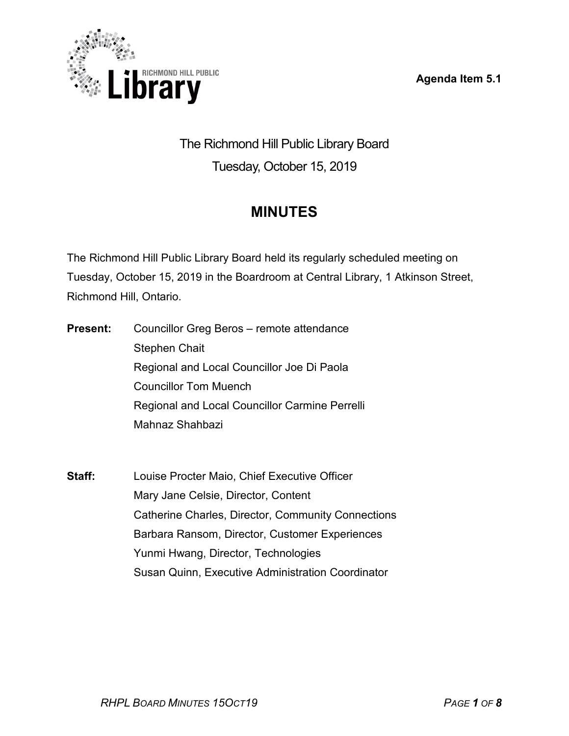**Agenda Item 5.1**



The Richmond Hill Public Library Board Tuesday, October 15, 2019

# **MINUTES**

The Richmond Hill Public Library Board held its regularly scheduled meeting on Tuesday, October 15, 2019 in the Boardroom at Central Library, 1 Atkinson Street, Richmond Hill, Ontario.

- **Present:** Councillor Greg Beros remote attendance Stephen Chait Regional and Local Councillor Joe Di Paola Councillor Tom Muench Regional and Local Councillor Carmine Perrelli Mahnaz Shahbazi
- **Staff:** Louise Procter Maio, Chief Executive Officer Mary Jane Celsie, Director, Content Catherine Charles, Director, Community Connections Barbara Ransom, Director, Customer Experiences Yunmi Hwang, Director, Technologies Susan Quinn, Executive Administration Coordinator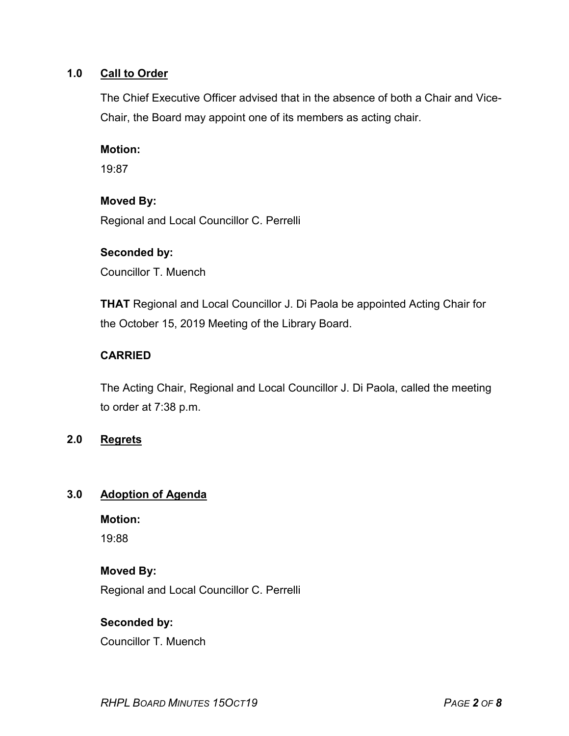## **1.0 Call to Order**

The Chief Executive Officer advised that in the absence of both a Chair and Vice-Chair, the Board may appoint one of its members as acting chair.

#### **Motion:**

19:87

#### **Moved By:**

Regional and Local Councillor C. Perrelli

#### **Seconded by:**

Councillor T. Muench

**THAT** Regional and Local Councillor J. Di Paola be appointed Acting Chair for the October 15, 2019 Meeting of the Library Board.

## **CARRIED**

The Acting Chair, Regional and Local Councillor J. Di Paola, called the meeting to order at 7:38 p.m.

## **2.0 Regrets**

# **3.0 Adoption of Agenda**

**Motion:** 19:88

## **Moved By:**

Regional and Local Councillor C. Perrelli

## **Seconded by:**

Councillor T. Muench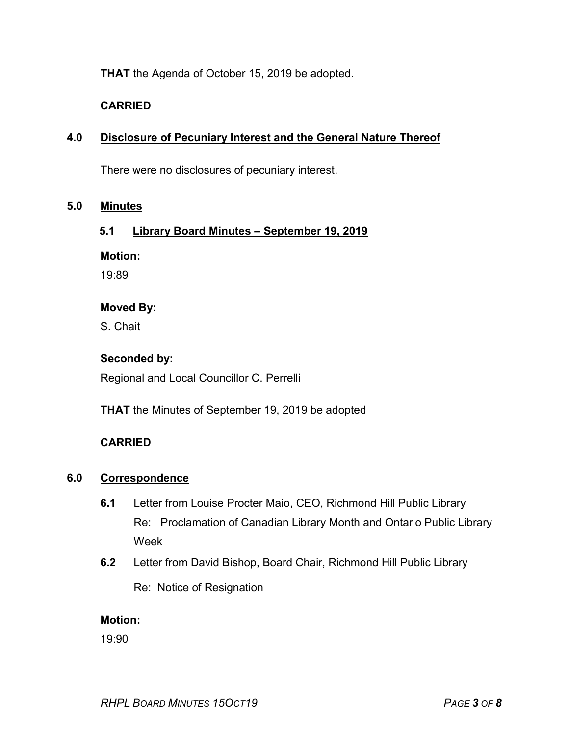**THAT** the Agenda of October 15, 2019 be adopted.

## **CARRIED**

### **4.0 Disclosure of Pecuniary Interest and the General Nature Thereof**

There were no disclosures of pecuniary interest.

#### **5.0 Minutes**

#### **5.1 Library Board Minutes – September 19, 2019**

**Motion:**

19:89

#### **Moved By:**

S. Chait

#### **Seconded by:**

Regional and Local Councillor C. Perrelli

**THAT** the Minutes of September 19, 2019 be adopted

## **CARRIED**

#### **6.0 Correspondence**

- **6.1** Letter from Louise Procter Maio, CEO, Richmond Hill Public Library Re: Proclamation of Canadian Library Month and Ontario Public Library Week
- **6.2** Letter from David Bishop, Board Chair, Richmond Hill Public Library Re: Notice of Resignation

#### **Motion:**

19:90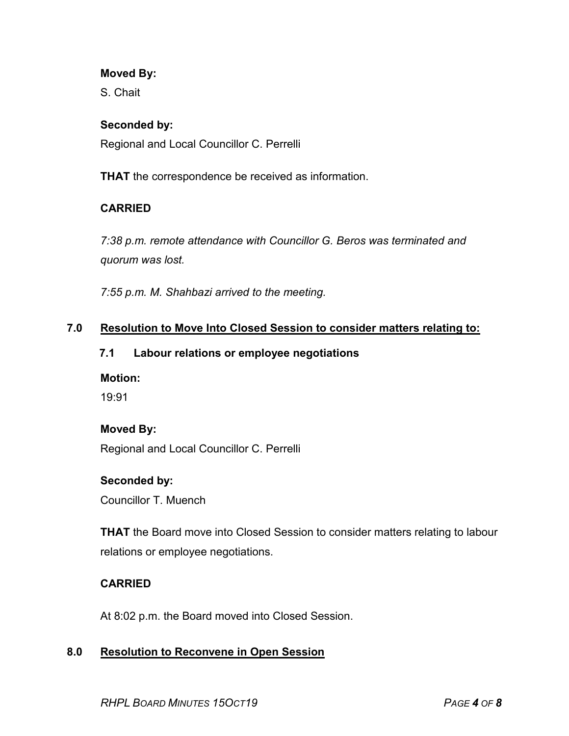#### **Moved By:**

S. Chait

### **Seconded by:**

Regional and Local Councillor C. Perrelli

**THAT** the correspondence be received as information.

# **CARRIED**

*7:38 p.m. remote attendance with Councillor G. Beros was terminated and quorum was lost.*

*7:55 p.m. M. Shahbazi arrived to the meeting.*

#### **7.0 Resolution to Move Into Closed Session to consider matters relating to:**

#### **7.1 Labour relations or employee negotiations**

#### **Motion:**

19:91

#### **Moved By:**

Regional and Local Councillor C. Perrelli

#### **Seconded by:**

Councillor T. Muench

**THAT** the Board move into Closed Session to consider matters relating to labour relations or employee negotiations.

## **CARRIED**

At 8:02 p.m. the Board moved into Closed Session.

## **8.0 Resolution to Reconvene in Open Session**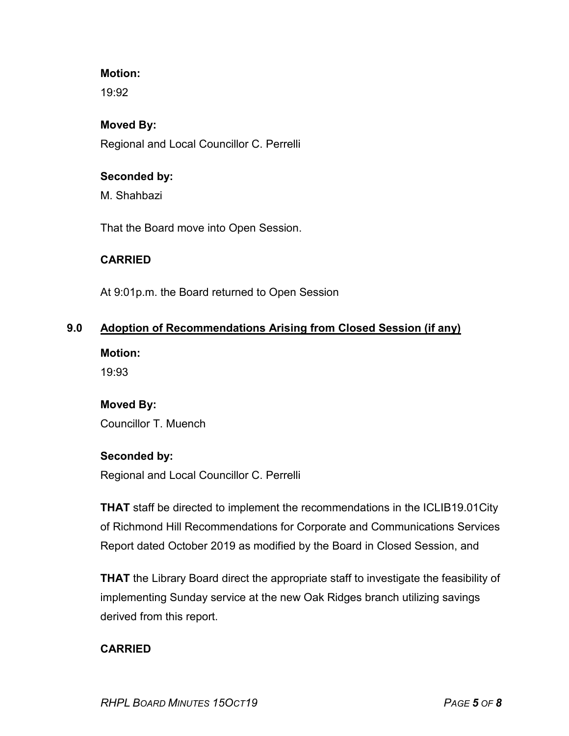### **Motion:**

19:92

#### **Moved By:**

Regional and Local Councillor C. Perrelli

#### **Seconded by:**

M. Shahbazi

That the Board move into Open Session.

## **CARRIED**

At 9:01p.m. the Board returned to Open Session

## **9.0 Adoption of Recommendations Arising from Closed Session (if any)**

**Motion:**

19:93

## **Moved By:**

Councillor T. Muench

## **Seconded by:**

Regional and Local Councillor C. Perrelli

**THAT** staff be directed to implement the recommendations in the ICLIB19.01City of Richmond Hill Recommendations for Corporate and Communications Services Report dated October 2019 as modified by the Board in Closed Session, and

**THAT** the Library Board direct the appropriate staff to investigate the feasibility of implementing Sunday service at the new Oak Ridges branch utilizing savings derived from this report.

## **CARRIED**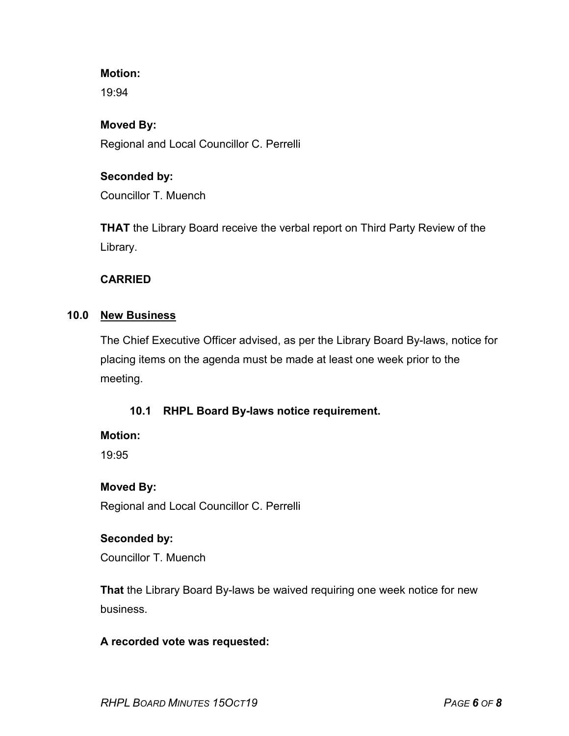### **Motion:**

19:94

#### **Moved By:**

Regional and Local Councillor C. Perrelli

### **Seconded by:**

Councillor T. Muench

**THAT** the Library Board receive the verbal report on Third Party Review of the Library.

#### **CARRIED**

#### **10.0 New Business**

The Chief Executive Officer advised, as per the Library Board By-laws, notice for placing items on the agenda must be made at least one week prior to the meeting.

## **10.1 RHPL Board By-laws notice requirement.**

#### **Motion:**

19:95

## **Moved By:**

Regional and Local Councillor C. Perrelli

## **Seconded by:**

Councillor T. Muench

**That** the Library Board By-laws be waived requiring one week notice for new business.

## **A recorded vote was requested:**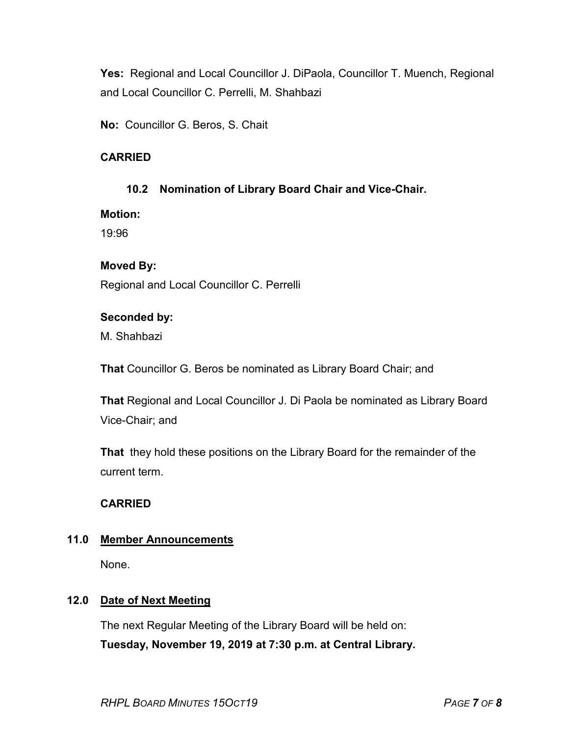**Yes:** Regional and Local Councillor J. DiPaola, Councillor T. Muench, Regional and Local Councillor C. Perrelli, M. Shahbazi

**No:** Councillor G. Beros, S. Chait

# **CARRIED**

## **10.2 Nomination of Library Board Chair and Vice-Chair.**

#### **Motion:**

19:96

## **Moved By:**

Regional and Local Councillor C. Perrelli

#### **Seconded by:**

M. Shahbazi

**That** Councillor G. Beros be nominated as Library Board Chair; and

**That** Regional and Local Councillor J. Di Paola be nominated as Library Board Vice-Chair; and

**That** they hold these positions on the Library Board for the remainder of the current term.

## **CARRIED**

## **11.0 Member Announcements**

None.

# **12.0 Date of Next Meeting**

The next Regular Meeting of the Library Board will be held on: **Tuesday, November 19, 2019 at 7:30 p.m. at Central Library.**